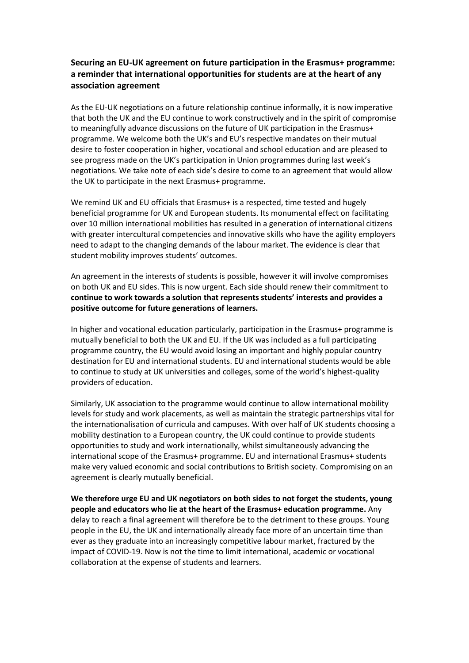## **Securing an EU-UK agreement on future participation in the Erasmus+ programme: a reminder that international opportunities for students are at the heart of any association agreement**

As the EU-UK negotiations on a future relationship continue informally, it is now imperative that both the UK and the EU continue to work constructively and in the spirit of compromise to meaningfully advance discussions on the future of UK participation in the Erasmus+ programme. We welcome both the UK's and EU's respective mandates on their mutual desire to foster cooperation in higher, vocational and school education and are pleased to see progress made on the UK's participation in Union programmes during last week's negotiations. We take note of each side's desire to come to an agreement that would allow the UK to participate in the next Erasmus+ programme.

We remind UK and EU officials that Erasmus+ is a respected, time tested and hugely beneficial programme for UK and European students. Its monumental effect on facilitating over 10 million international mobilities has resulted in a generation of international citizens with greater intercultural competencies and innovative skills who have the agility employers need to adapt to the changing demands of the labour market. The evidence is clear that student mobility improves students' outcomes.

An agreement in the interests of students is possible, however it will involve compromises on both UK and EU sides. This is now urgent. Each side should renew their commitment to **continue to work towards a solution that represents students' interests and provides a positive outcome for future generations of learners.** 

In higher and vocational education particularly, participation in the Erasmus+ programme is mutually beneficial to both the UK and EU. If the UK was included as a full participating programme country, the EU would avoid losing an important and highly popular country destination for EU and international students. EU and international students would be able to continue to study at UK universities and colleges, some of the world's highest-quality providers of education.

Similarly, UK association to the programme would continue to allow international mobility levels for study and work placements, as well as maintain the strategic partnerships vital for the internationalisation of curricula and campuses. With over half of UK students choosing a mobility destination to a European country, the UK could continue to provide students opportunities to study and work internationally, whilst simultaneously advancing the international scope of the Erasmus+ programme. EU and international Erasmus+ students make very valued economic and social contributions to British society. Compromising on an agreement is clearly mutually beneficial.

**We therefore urge EU and UK negotiators on both sides to not forget the students, young people and educators who lie at the heart of the Erasmus+ education programme.** Any delay to reach a final agreement will therefore be to the detriment to these groups. Young people in the EU, the UK and internationally already face more of an uncertain time than ever as they graduate into an increasingly competitive labour market, fractured by the impact of COVID-19. Now is not the time to limit international, academic or vocational collaboration at the expense of students and learners.